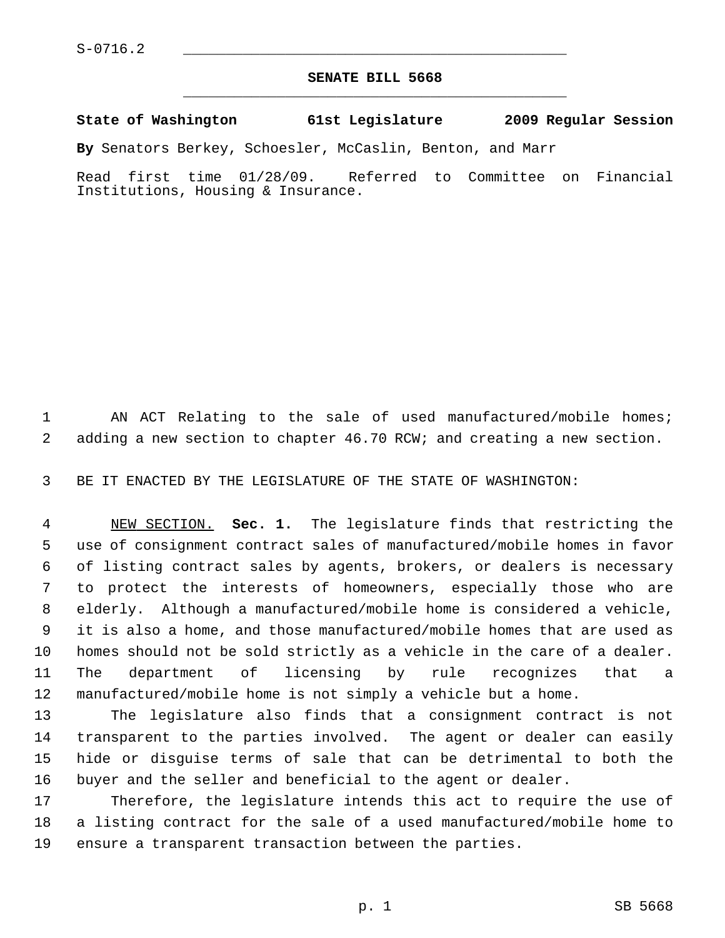## **SENATE BILL 5668** \_\_\_\_\_\_\_\_\_\_\_\_\_\_\_\_\_\_\_\_\_\_\_\_\_\_\_\_\_\_\_\_\_\_\_\_\_\_\_\_\_\_\_\_\_

## **State of Washington 61st Legislature 2009 Regular Session**

**By** Senators Berkey, Schoesler, McCaslin, Benton, and Marr

Read first time 01/28/09. Referred to Committee on Financial Institutions, Housing & Insurance.

1 AN ACT Relating to the sale of used manufactured/mobile homes; 2 adding a new section to chapter 46.70 RCW; and creating a new section.

3 BE IT ENACTED BY THE LEGISLATURE OF THE STATE OF WASHINGTON:

 4 NEW SECTION. **Sec. 1.** The legislature finds that restricting the 5 use of consignment contract sales of manufactured/mobile homes in favor 6 of listing contract sales by agents, brokers, or dealers is necessary 7 to protect the interests of homeowners, especially those who are 8 elderly. Although a manufactured/mobile home is considered a vehicle, 9 it is also a home, and those manufactured/mobile homes that are used as 10 homes should not be sold strictly as a vehicle in the care of a dealer. 11 The department of licensing by rule recognizes that a 12 manufactured/mobile home is not simply a vehicle but a home.

13 The legislature also finds that a consignment contract is not 14 transparent to the parties involved. The agent or dealer can easily 15 hide or disguise terms of sale that can be detrimental to both the 16 buyer and the seller and beneficial to the agent or dealer.

17 Therefore, the legislature intends this act to require the use of 18 a listing contract for the sale of a used manufactured/mobile home to 19 ensure a transparent transaction between the parties.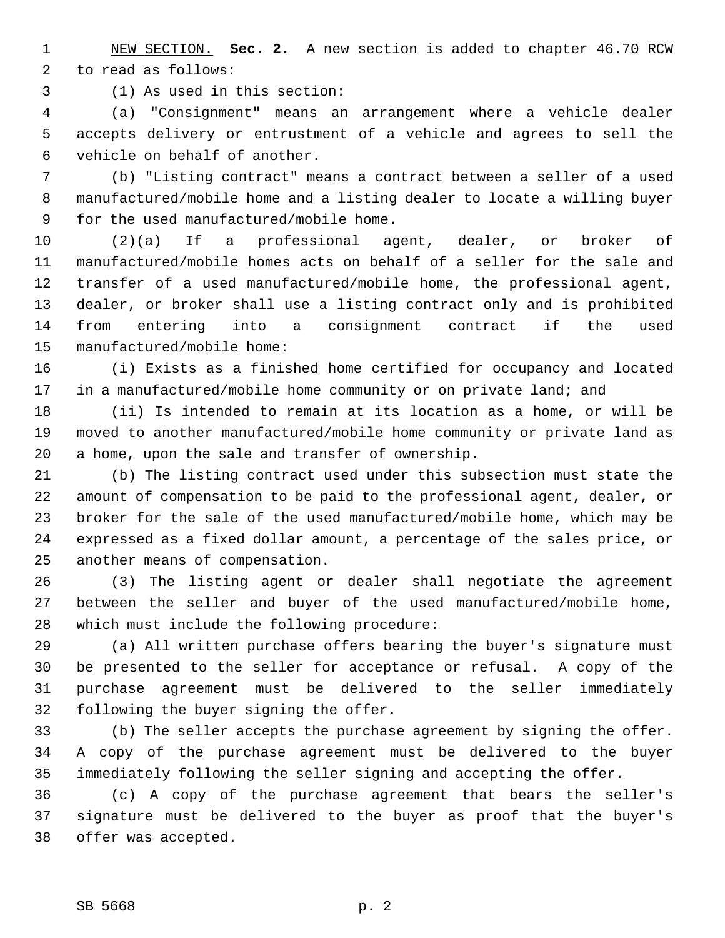1 NEW SECTION. **Sec. 2.** A new section is added to chapter 46.70 RCW 2 to read as follows:

3 (1) As used in this section:

 4 (a) "Consignment" means an arrangement where a vehicle dealer 5 accepts delivery or entrustment of a vehicle and agrees to sell the 6 vehicle on behalf of another.

 7 (b) "Listing contract" means a contract between a seller of a used 8 manufactured/mobile home and a listing dealer to locate a willing buyer 9 for the used manufactured/mobile home.

10 (2)(a) If a professional agent, dealer, or broker of 11 manufactured/mobile homes acts on behalf of a seller for the sale and 12 transfer of a used manufactured/mobile home, the professional agent, 13 dealer, or broker shall use a listing contract only and is prohibited 14 from entering into a consignment contract if the used 15 manufactured/mobile home:

16 (i) Exists as a finished home certified for occupancy and located 17 in a manufactured/mobile home community or on private land; and

18 (ii) Is intended to remain at its location as a home, or will be 19 moved to another manufactured/mobile home community or private land as 20 a home, upon the sale and transfer of ownership.

21 (b) The listing contract used under this subsection must state the 22 amount of compensation to be paid to the professional agent, dealer, or 23 broker for the sale of the used manufactured/mobile home, which may be 24 expressed as a fixed dollar amount, a percentage of the sales price, or 25 another means of compensation.

26 (3) The listing agent or dealer shall negotiate the agreement 27 between the seller and buyer of the used manufactured/mobile home, 28 which must include the following procedure:

29 (a) All written purchase offers bearing the buyer's signature must 30 be presented to the seller for acceptance or refusal. A copy of the 31 purchase agreement must be delivered to the seller immediately 32 following the buyer signing the offer.

33 (b) The seller accepts the purchase agreement by signing the offer. 34 A copy of the purchase agreement must be delivered to the buyer 35 immediately following the seller signing and accepting the offer.

36 (c) A copy of the purchase agreement that bears the seller's 37 signature must be delivered to the buyer as proof that the buyer's 38 offer was accepted.